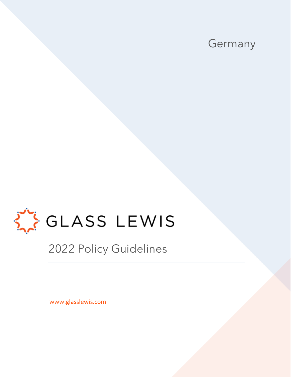



2022 Policy Guidelines

www.glasslewis.com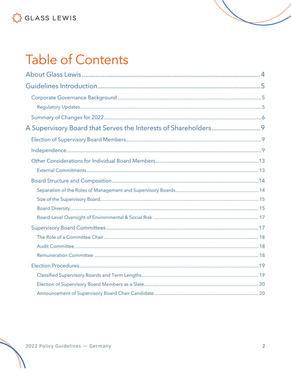# **Table of Contents**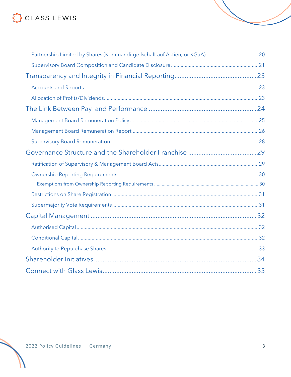| Partnership Limited by Shares (Kommanditgellschaft auf Aktien, or KGaA) 20 |  |
|----------------------------------------------------------------------------|--|
|                                                                            |  |
|                                                                            |  |
|                                                                            |  |
|                                                                            |  |
|                                                                            |  |
|                                                                            |  |
|                                                                            |  |
|                                                                            |  |
|                                                                            |  |
|                                                                            |  |
|                                                                            |  |
|                                                                            |  |
|                                                                            |  |
|                                                                            |  |
|                                                                            |  |
|                                                                            |  |
|                                                                            |  |
|                                                                            |  |
|                                                                            |  |
|                                                                            |  |
|                                                                            |  |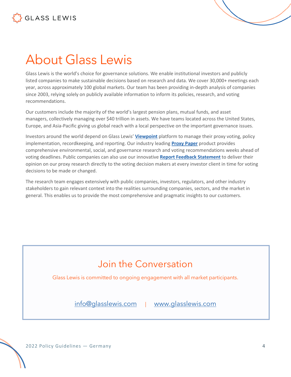# <span id="page-3-0"></span>About Glass Lewis

Glass Lewis is the world's choice for governance solutions. We enable institutional investors and publicly listed companies to make sustainable decisions based on research and data. We cover 30,000+ meetings each year, across approximately 100 global markets. Our team has been providing in-depth analysis of companies since 2003, relying solely on publicly available information to inform its policies, research, and voting recommendations.

Our customers include the majority of the world's largest pension plans, mutual funds, and asset managers, collectively managing over \$40 trillion in assets. We have teams located across the United States, Europe, and Asia-Pacific giving us global reach with a local perspective on the important governance issues.

Investors around the world depend on Glass Lewis' **[Viewpoint](https://www.glasslewis.com/proxy-voting-2/)** platform to manage their proxy voting, policy implementation, recordkeeping, and reporting. Our industry leading **[Proxy Paper](https://www.glasslewis.com/proxy-research-3/)** product provides comprehensive environmental, social, and governance research and voting recommendations weeks ahead of voting deadlines. Public companies can also use our innovative **[Report Feedback Statement](https://www.glasslewis.com/report-feedback-statement/)** to deliver their opinion on our proxy research directly to the voting decision makers at every investor client in time for voting decisions to be made or changed.

The research team engages extensively with public companies, investors, regulators, and other industry stakeholders to gain relevant context into the realities surrounding companies, sectors, and the market in general. This enables us to provide the most comprehensive and pragmatic insights to our customers.

## Join the Conversation

Glass Lewis is committed to ongoing engagement with all market participants.

[info@glasslewis.com](mailto:info@glasslewis.com) | [www.glasslewis.com](http://www.glasslewis.com/)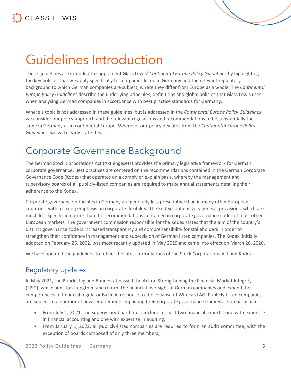# <span id="page-4-0"></span>Guidelines Introduction

These guidelines are intended to supplement Glass Lewis' *Continental Europe Policy Guidelines* by highlighting the key policies that we apply specifically to companies listed in Germany and the relevant regulatory background to which German companies are subject, where they differ from Europe as a whole. The *Continental Europe Policy Guidelines* describe the underlying principles, definitions and global policies that Glass Lewis uses when analysing German companies in accordance with best practice standards for Germany.

Where a topic is not addressed in these guidelines, but is addressed in the *Continental Europe Policy Guidelines*, we consider our policy approach and the relevant regulations and recommendations to be substantially the same in Germany as in continental Europe. Wherever our policy deviates from the *Continental Europe Policy Guidelines*, we will clearly state this.

### <span id="page-4-1"></span>Corporate Governance Background

The German Stock Corporations Act (Aktiengesetz) provides the primary legislative framework for German corporate governance. Best practices are centered on the recommendations contained in the German Corporate Governance Code (Kodex) that operates on a comply or explain basis, whereby the management and supervisory boards of all publicly-listed companies are required to make annual statements detailing their adherence to the Kodex.

Corporate governance principles in Germany are generally less prescriptive than in many other European countries, with a strong emphasis on corporate flexibility. The Kodex contains very general provisions, which are much less specific in nature than the recommendations contained in corporate governance codes of most other European markets. The government commission responsible for the Kodex states that the aim of the country's distinct governance code is increased transparency and comprehensibility for stakeholders in order to strengthen their confidence in management and supervision of German listed companies. The Kodex, initially adopted on February 26, 2002, was most recently updated in May 2019 and came into effect on March 20, 2020.

We have updated the guidelines to reflect the latest formulations of the Stock Corporations Act and Kodex.

### <span id="page-4-2"></span>Regulatory Updates

In May 2021, the Bundestag and Bundesrat passed the Act on Strengthening the Financial Market Integrity (FISG), which aims to strengthen and reform the financial oversight of German companies and expand the competencies of financial regulator BaFin in response to the collapse of Wirecard AG. Publicly-listed companies are subject to a number of new requirements impacting their corporate governance framework, in particular:

- From July 1, 2021, the supervisory board must include at least two financial experts, one with expertise in financial accounting and one with expertise in auditing;
- From January 1, 2022, all publicly-listed companies are required to form an audit committee, with the exception of boards composed of only three members;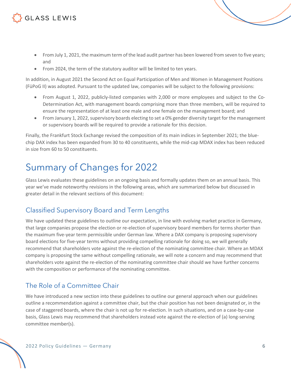- From July 1, 2021, the maximum term of the lead audit partner has been lowered from seven to five years; and
- From 2024, the term of the statutory auditor will be limited to ten years.

In addition, in August 2021 the Second Act on Equal Participation of Men and Women in Management Positions (FüPoG II) was adopted. Pursuant to the updated law, companies will be subject to the following provisions:

- From August 1, 2022, publicly-listed companies with 2,000 or more employees and subject to the Co-Determination Act, with management boards comprising more than three members, will be required to ensure the representation of at least one male and one female on the management board; and
- From January 1, 2022, supervisory boards electing to set a 0% gender diversity target for the management or supervisory boards will be required to provide a rationale for this decision.

Finally, the Frankfurt Stock Exchange revised the composition of its main indices in September 2021; the bluechip DAX index has been expanded from 30 to 40 constituents, while the mid-cap MDAX index has been reduced in size from 60 to 50 constituents.

## <span id="page-5-0"></span>Summary of Changes for 2022

Glass Lewis evaluates these guidelines on an ongoing basis and formally updates them on an annual basis. This year we've made noteworthy revisions in the following areas, which are summarized below but discussed in greater detail in the relevant sections of this document:

### Classified Supervisory Board and Term Lengths

We have updated these guidelines to outline our expectation, in line with evolving market practice in Germany, that large companies propose the election or re-election of supervisory board members for terms shorter than the maximum five-year term permissible under German law. Where a DAX company is proposing supervisory board elections for five-year terms without providing compelling rationale for doing so, we will generally recommend that shareholders vote against the re-election of the nominating committee chair. Where an MDAX company is proposing the same without compelling rationale, we will note a concern and may recommend that shareholders vote against the re-election of the nominating committee chair should we have further concerns with the composition or performance of the nominating committee.

### The Role of a Committee Chair

We have introduced a new section into these guidelines to outline our general approach when our guidelines outline a recommendation against a committee chair, but the chair position has not been designated or, in the case of staggered boards, where the chair is not up for re-election. In such situations, and on a case-by-case basis, Glass Lewis may recommend that shareholders instead vote against the re-election of (a) long-serving committee member(s).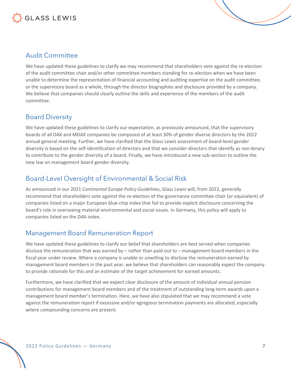

#### Audit Committee

We have updated these guidelines to clarify we may recommend that shareholders vote against the re-election of the audit committee chair and/or other committee members standing for re-election when we have been unable to determine the representation of financial accounting and auditing expertise on the audit committee, or the supervisory board as a whole, through the director biographies and disclosure provided by a company. We believe that companies should clearly outline the skills and experience of the members of the audit committee.

#### Board Diversity

We have updated these guidelines to clarify our expectation, as previously announced, that the supervisory boards of all DAX and MDAX companies be composed of at least 30% of gender diverse directors by the 2022 annual general meeting. Further, we have clarified that the Glass Lewis assessment of board-level gender diversity is based on the self-identification of directors and that we consider directors that identify as non-binary to contribute to the gender diversity of a board. Finally, we have introduced a new sub-section to outline the new law on management board gender diversity.

### Board-Level Oversight of Environmental & Social Risk

As announced in our 2021 *Continental Europe Policy Guidelines*, Glass Lewis will, from 2022, generally recommend that shareholders vote against the re-election of the governance committee chair (or equivalent) of companies listed on a major European blue-chip index that fail to provide explicit disclosure concerning the board's role in overseeing material environmental and social issues. In Germany, this policy will apply to companies listed on the DAX index.

#### Management Board Remuneration Report

We have updated these guidelines to clarify our belief that shareholders are best served when companies disclose the remuneration that was earned by – rather than paid out to – management board members in the fiscal year under review. Where a company is unable or unwilling to disclose the remuneration earned by management board members in the past year, we believe that shareholders can reasonably expect the company to provide rationale for this and an estimate of the target achievement for earned amounts.

Furthermore, we have clarified that we expect clear disclosure of the amount of individual annual pension contributions for management board members and of the treatment of outstanding long-term awards upon a management board member's termination. Here, we have also stipulated that we may recommend a vote against the remuneration report if excessive and/or egregious termination payments are allocated, especially where compounding concerns are present.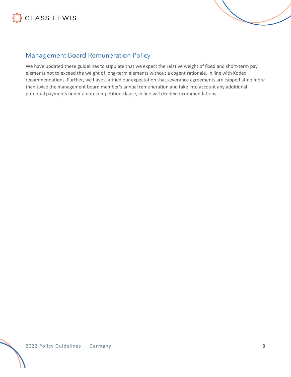



### Management Board Remuneration Policy

We have updated these guidelines to stipulate that we expect the relative weight of fixed and short-term pay elements not to exceed the weight of long-term elements without a cogent rationale, in line with Kodex recommendations. Further, we have clarified our expectation that severance agreements are capped at no more than twice the management board member's annual remuneration and take into account any additional potential payments under a non-competition clause, in line with Kodex recommendations.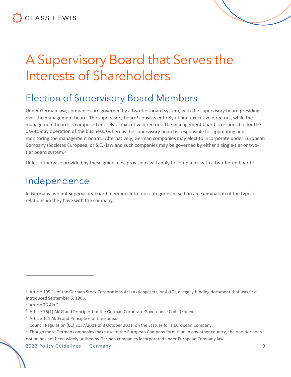# <span id="page-8-0"></span>A Supervisory Board that Serves the Interests of Shareholders

### <span id="page-8-1"></span>Election of Supervisory Board Members

Under German law, companies are governed by a two-tier board system, with the supervisory board presiding over the management board. The supervisory board<sup>[1](#page-8-3)</sup> consists entirely of non-executive directors, while the management board<sup>[2](#page-8-4)</sup> is composed entirely of executive directors. The management board is responsible for the day-to-day operation of the business,[3](#page-8-5) whereas the supervisory board is responsible for appointing and monitoring the management board.[4](#page-8-6) Alternatively, German companies may elect to incorporate under European Company (Societas Europaea, or S.E.) law and such companies may be governed by either a single-tier or two-tier board system.<sup>[5](#page-8-7)</sup>

Unless otherwise provided by these guidelines, provisions will apply to companies with a two-tiered board.<sup>[6](#page-8-8)</sup>

### <span id="page-8-2"></span>Independence

In Germany, we put supervisory board members into four categories based on an examination of the type of relationship they have with the company:

<span id="page-8-4"></span><sup>2</sup> Article 76 AktG.

- <span id="page-8-6"></span><sup>4</sup> Article 111 AktG and Principle 6 of the Kodex.
- <span id="page-8-7"></span><sup>5</sup> Council Regulation (EC) 2157/2001 of 8 October 2001, on the Statute for a European Company.

<span id="page-8-3"></span> $1$  Article 105(1) of the German Stock Corporations Act (Aktiengesetz, or AktG), a legally-binding document that was first introduced September 6, 1965.

<span id="page-8-5"></span><sup>&</sup>lt;sup>3</sup> Article 76(1) AktG and Principle 1 of the German Corporate Governance Code (Kodex).

<span id="page-8-8"></span><sup>&</sup>lt;sup>6</sup> Though more German companies make use of the European Company form than in any other country, the one-tier board option has not been widely utilised by German companies incorporated under European Company law.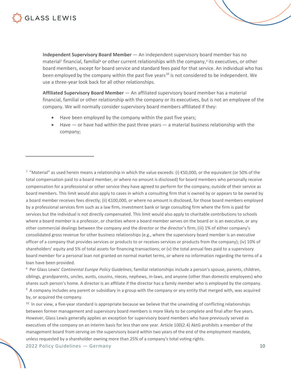**Independent Supervisory Board Member** — An independent supervisory board member has no material<sup>[7](#page-9-0)</sup> financial, familial<sup>[8](#page-9-1)</sup> or other current relationships with the company,<sup>[9](#page-9-2)</sup> its executives, or other board members, except for board service and standard fees paid for that service. An individual who has been employed by the company within the past five years<sup>[10](#page-9-3)</sup> is not considered to be independent. We use a three-year look back for all other relationships.

**Affiliated Supervisory Board Member** — An affiliated supervisory board member has a material financial, familial or other relationship with the company or its executives, but is not an employee of the company. We will normally consider supervisory board members affiliated if they:

- Have been employed by the company within the past five years;
- Have or have had within the past three years a material business relationship with the company;

<span id="page-9-0"></span> $^7$  "Material" as used herein means a relationship in which the value exceeds: (i)  $E$ 50,000, or the equivalent (or 50% of the total compensation paid to a board member, or where no amount is disclosed) for board members who personally receive compensation for a professional or other service they have agreed to perform for the company, outside of their service as board members. This limit would also apply to cases in which a consulting firm that is owned by or appears to be owned by a board member receives fees directly; (ii) €100,000, or where no amount is disclosed, for those board members employed by a professional services firm such as a law firm, investment bank or large consulting firm where the firm is paid for services but the individual is not directly compensated. This limit would also apply to charitable contributions to schools where a board member is a professor, or charities where a board member serves on the board or is an executive, or any other commercial dealings between the company and the director or the director's firm; (iii) 1% of either company's consolidated gross revenue for other business relationships (e.g., where the supervisory board member is an executive officer of a company that provides services or products to or receives services or products from the company); (iv) 10% of shareholders' equity and 5% of total assets for financing transactions; or (v) the total annual fees paid to a supervisory board member for a personal loan not granted on normal market terms, or where no information regarding the terms of a loan have been provided.

<span id="page-9-1"></span>8 Per Glass Lewis' *Continental Europe Policy Guidelines*, familial relationships include a person's spouse, parents, children, siblings, grandparents, uncles, aunts, cousins, nieces, nephews, in-laws, and anyone (other than domestic employees) who shares such person's home. A director is an affiliate if the director has a family member who is employed by the company. <sup>9</sup> A company includes any parent or subsidiary in a group with the company or any entity that merged with, was acquired by, or acquired the company.

<span id="page-9-3"></span><span id="page-9-2"></span> $10$  In our view, a five-year standard is appropriate because we believe that the unwinding of conflicting relationships between former management and supervisory board members is more likely to be complete and final after five years. However, Glass Lewis generally applies an exception for supervisory board members who have previously served as executives of the company on an interim basis for less than one year. Article 100(2.4) AktG prohibits a member of the management board from serving on the supervisory board within two years of the end of the employment mandate, unless requested by a shareholder owning more than 25% of a company's total voting rights.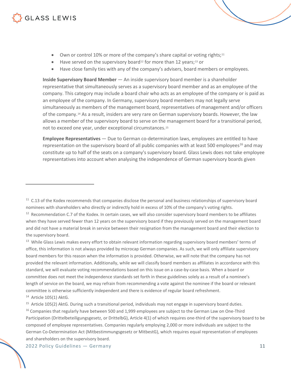- Own or control 10% or more of the company's share capital or voting rights;<sup>[11](#page-10-0)</sup>
- Have served on the supervisory board<sup>[12](#page-10-1)</sup> for more than 12 years;<sup>[13](#page-10-2)</sup> or
- Have close family ties with any of the company's advisers, board members or employees.

**Inside Supervisory Board Member** — An inside supervisory board member is a shareholder representative that simultaneously serves as a supervisory board member and as an employee of the company. This category may include a board chair who acts as an employee of the company or is paid as an employee of the company. In Germany, supervisory board members may not legally serve simultaneously as members of the management board, representatives of management and/or officers of the company.[14](#page-10-3) As a result, insiders are very rare on German supervisory boards. However, the law allows a member of the supervisory board to serve on the management board for a transitional period, not to exceed one year, under exceptional circumstances.[15](#page-10-4)

**Employee Representatives** — Due to German co-determination laws, employees are entitled to have representation on the supervisory board of all public companies with at least 500 employees<sup>16</sup> and may constitute up to half of the seats on a company's supervisory board. Glass Lewis does not take employee representatives into account when analysing the independence of German supervisory boards given

<span id="page-10-2"></span><sup>13</sup> While Glass Lewis makes every effort to obtain relevant information regarding supervisory board members' terms of office, this information is not always provided by microcap German companies. As such, we will only affiliate supervisory board members for this reason when the information is provided. Otherwise, we will note that the company has not provided the relevant information. Additionally, while we will classify board members as affiliates in accordance with this standard, we will evaluate voting recommendations based on this issue on a case-by-case basis. When a board or committee does not meet the independence standards set forth in these guidelines solely as a result of a nominee's length of service on the board, we may refrain from recommending a vote against the nominee if the board or relevant committee is otherwise sufficiently independent and there is evidence of regular board refreshment.

<span id="page-10-3"></span><sup>14</sup> Article 105(1) AktG.

<span id="page-10-4"></span><sup>15</sup> Article 105(2) AktG. During such a transitional period, individuals may not engage in supervisory board duties.

<span id="page-10-0"></span> $11$  C.13 of the Kodex recommends that companies disclose the personal and business relationships of supervisory board nominees with shareholders who directly or indirectly hold in excess of 10% of the company's voting rights.

<span id="page-10-1"></span> $12$  Recommendation C.7 of the Kodex. In certain cases, we will also consider supervisory board members to be affiliates when they have served fewer than 12 years on the supervisory board if they previously served on the management board and did not have a material break in service between their resignation from the management board and their election to the supervisory board.

<span id="page-10-5"></span><sup>&</sup>lt;sup>16</sup> Companies that regularly have between 500 and 1,999 employees are subject to the German Law on One-Third Participation (Drittelbeteiligungsgesetz, or DrittelbG), Article 4(1) of which requires one-third of the supervisory board to be composed of employee representatives. Companies regularly employing 2,000 or more individuals are subject to the German Co-Determination Act (Mitbestimmungsgesetz or MitbestG), which requires equal representation of employees and shareholders on the supervisory board.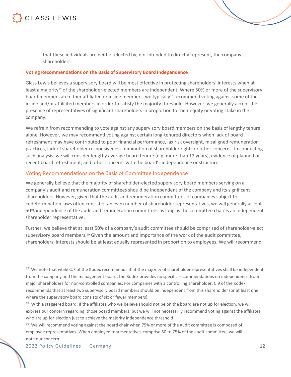

that these individuals are neither elected by, nor intended to directly represent, the company's shareholders.

#### **Voting Recommendations on the Basis of Supervisory Board Independence**

Glass Lewis believes a supervisory board will be most effective in protecting shareholders' interests when at least a majority<sup>17</sup> of the shareholder-elected members are independent. Where 50% or more of the supervisory board members are either affiliated or inside members, we typicall[y18](#page-11-1) recommend voting against some of the inside and/or affiliated members in order to satisfy the majority threshold. However, we generally accept the presence of representatives of significant shareholders in proportion to their equity or voting stake in the company.

We refrain from recommending to vote against any supervisory board members on the basis of lengthy tenure alone. However, we may recommend voting against certain long-tenured directors when lack of board refreshment may have contributed to poor financial performance, lax risk oversight, misaligned remuneration practices, lack of shareholder responsiveness, diminution of shareholder rights or other concerns. In conducting such analysis, we will consider lengthy average board tenure (e.g. more than 12 years), evidence of planned or recent board refreshment, and other concerns with the board's independence or structure.

#### Voting Recommendations on the Basis of Committee Independence

We generally believe that the majority of shareholder-elected supervisory board members serving on a company's audit and remuneration committees should be independent of the company and its significant shareholders. However, given that the audit and remuneration committees of companies subject to codetermination laws often consist of an even number of shareholder representatives, we will generally accept 50% independence of the audit and remuneration committees as long as the committee chair is an independent shareholder representative.

Further, we believe that at least 50% of a company's audit committee should be comprised of shareholder-elect supervisory board members.<sup>[19](#page-11-2)</sup> Given the amount and importance of the work of the audit committee, shareholders' interests should be at least equally represented in proportion to employees. We will recommend

<span id="page-11-0"></span><sup>&</sup>lt;sup>17</sup> We note that while C.7 of the Kodex recommends that the majority of shareholder representatives shall be independent from the company and the management board, the Kodex provides no specific recommendations on independence from major shareholders for non-controlled companies. For companies with a controlling shareholder, C.9 of the Kodex recommends that at least two supervisory board members should be independent from this shareholder (or at least one where the supervisory board consists of six or fewer members).

<span id="page-11-1"></span> $18$  With a staggered board, if the affiliates who we believe should not be on the board are not up for election, we will express our concern regarding those board members, but we will not necessarily recommend voting against the affiliates who are up for election just to achieve the majority independence threshold.

<span id="page-11-2"></span><sup>&</sup>lt;sup>19</sup> We will recommend voting against the board chair when 75% or more of the audit committee is composed of employee representatives. When employee representatives comprise 50 to 75% of the audit committee, we will note our concern.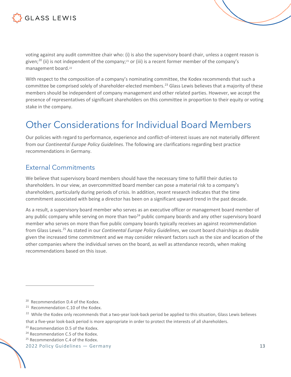

voting against any audit committee chair who: (i) is also the supervisory board chair, unless a cogent reason is given;<sup>[20](#page-12-2)</sup> (ii) is not independent of the company;<sup>[21](#page-12-3)</sup> or (iii) is a recent former member of the company's management board.[22](#page-12-4)

With respect to the composition of a company's nominating committee, the Kodex recommends that such a committee be comprised solely of shareholder-elected members.<sup>[23](#page-12-5)</sup> Glass Lewis believes that a majority of these members should be independent of company management and other related parties. However, we accept the presence of representatives of significant shareholders on this committee in proportion to their equity or voting stake in the company.

### <span id="page-12-0"></span>Other Considerations for Individual Board Members

Our policies with regard to performance, experience and conflict-of-interest issues are not materially different from our *Continental Europe Policy Guidelines*. The following are clarifications regarding best practice recommendations in Germany.

#### <span id="page-12-1"></span>External Commitments

We believe that supervisory board members should have the necessary time to fulfill their duties to shareholders. In our view, an overcommitted board member can pose a material risk to a company's shareholders, particularly during periods of crisis. In addition, recent research indicates that the time commitment associated with being a director has been on a significant upward trend in the past decade.

As a result, a supervisory board member who serves as an executive officer or management board member of any public company while serving on more than two<sup>[24](#page-12-6)</sup> public company boards and any other supervisory board member who serves on more than five public company boards typically receives an against recommendation from Glass Lewis.[25](#page-12-7) As stated in our *Continental Europe Policy Guidelines*, we count board chairships as double given the increased time commitment and we may consider relevant factors such as the size and location of the other companies where the individual serves on the board, as well as attendance records, when making recommendations based on this issue.

<span id="page-12-2"></span><sup>&</sup>lt;sup>20</sup> Recommendation D.4 of the Kodex.

<span id="page-12-3"></span><sup>&</sup>lt;sup>21</sup> Recommendation C.10 of the Kodex.

<span id="page-12-4"></span><sup>&</sup>lt;sup>22</sup> While the Kodex only recommends that a two-year look-back period be applied to this situation, Glass Lewis believes

that a five-year look-back period is more appropriate in order to protect the interests of all shareholders.

<span id="page-12-5"></span><sup>&</sup>lt;sup>23</sup> Recommendation D.5 of the Kodex.

<span id="page-12-6"></span><sup>&</sup>lt;sup>24</sup> Recommendation C.5 of the Kodex.

<span id="page-12-7"></span><sup>&</sup>lt;sup>25</sup> Recommendation C.4 of the Kodex.

<sup>2022</sup> Policy Guidelines — Germany 13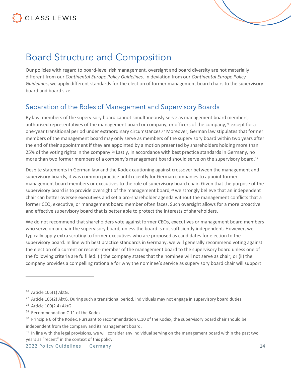### <span id="page-13-0"></span>Board Structure and Composition

Our policies with regard to board-level risk management, oversight and board diversity are not materially different from our *Continental Europe Policy Guidelines*. In deviation from our *Continental Europe Policy Guidelines*, we apply different standards for the election of former management board chairs to the supervisory board and board size.

### <span id="page-13-1"></span>Separation of the Roles of Management and Supervisory Boards

By law, members of the supervisory board cannot simultaneously serve as management board members, authorised representatives of the management board or company, or officers of the company, <sup>[26](#page-13-2)</sup> except for a one-year transitional period under extraordinary circumstances.[27](#page-13-3) Moreover, German law stipulates that former members of the management board may only serve as members of the supervisory board within two years after the end of their appointment if they are appointed by a motion presented by shareholders holding more than 25% of the voting rights in the company.[28](#page-13-4) Lastly, in accordance with best practice standards in Germany, no more than two former members of a company's management board should serve on the supervisory board.<sup>[29](#page-13-5)</sup>

Despite statements in German law and the Kodex cautioning against crossover between the management and supervisory boards, it was common practice until recently for German companies to appoint former management board members or executives to the role of supervisory board chair. Given that the purpose of the supervisory board is to provide oversight of the management board, $30$  we strongly believe that an independent chair can better oversee executives and set a pro-shareholder agenda without the management conflicts that a former CEO, executive, or management board member often faces. Such oversight allows for a more proactive and effective supervisory board that is better able to protect the interests of shareholders.

We do not recommend that shareholders vote against former CEOs, executives or management board members who serve on or chair the supervisory board, unless the board is not sufficiently independent. However, we typically apply extra scrutiny to former executives who are proposed as candidates for election to the supervisory board. In line with best practice standards in Germany, we will generally recommend voting against the election of a current or recent<sup>[31](#page-13-7)</sup> member of the management board to the supervisory board unless one of the following criteria are fulfilled: (i) the company states that the nominee will not serve as chair; or (ii) the company provides a compelling rationale for why the nominee's service as supervisory board chair will support

<span id="page-13-2"></span><sup>26</sup> Article 105(1) AktG.

<span id="page-13-3"></span> $27$  Article 105(2) AktG. During such a transitional period, individuals may not engage in supervisory board duties.

<span id="page-13-4"></span><sup>28</sup> Article 100(2.4) AktG.

<span id="page-13-5"></span><sup>&</sup>lt;sup>29</sup> Recommendation C.11 of the Kodex.

<span id="page-13-6"></span> $30$  Principle 6 of the Kodex. Pursuant to recommendation C.10 of the Kodex, the supervisory board chair should be independent from the company and its management board.

<span id="page-13-7"></span><sup>&</sup>lt;sup>31</sup> In line with the legal provisions, we will consider any individual serving on the management board within the past two years as "recent" in the context of this policy.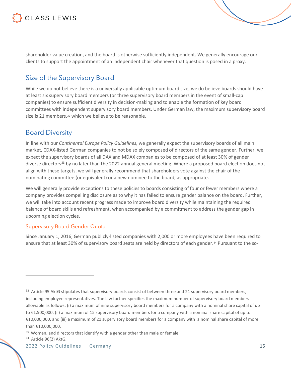shareholder value creation, and the board is otherwise sufficiently independent. We generally encourage our clients to support the appointment of an independent chair whenever that question is posed in a proxy.

### <span id="page-14-0"></span>Size of the Supervisory Board

While we do not believe there is a universally applicable optimum board size, we do believe boards should have at least six supervisory board members (or three supervisory board members in the event of small-cap companies) to ensure sufficient diversity in decision-making and to enable the formation of key board committees with independent supervisory board members. Under German law, the maximum supervisory board size is 21 members,<sup>[32](#page-14-2)</sup> which we believe to be reasonable.

### <span id="page-14-1"></span>Board Diversity

In line with our *Continental Europe Policy Guidelines,* we generally expect the supervisory boards of all main market, CDAX-listed German companies to not be solely composed of directors of the same gender. Further, we expect the supervisory boards of all DAX and MDAX companies to be composed of at least 30% of gender diverse directors<sup>[33](#page-14-3)</sup> by no later than the 2022 annual general meeting. Where a proposed board election does not align with these targets, we will generally recommend that shareholders vote against the chair of the nominating committee (or equivalent) or a new nominee to the board, as appropriate.

We will generally provide exceptions to these policies to boards consisting of four or fewer members where a company provides compelling disclosure as to why it has failed to ensure gender balance on the board. Further, we will take into account recent progress made to improve board diversity while maintaining the required balance of board skills and refreshment, when accompanied by a commitment to address the gender gap in upcoming election cycles.

#### Supervisory Board Gender Quota

Since January 1, 2016, German publicly-listed companies with 2,000 or more employees have been required to ensure that at least 30% of supervisory board seats are held by directors of each gender.[34](#page-14-4) Pursuant to the so-

<span id="page-14-2"></span><sup>&</sup>lt;sup>32</sup> Article 95 AktG stipulates that supervisory boards consist of between three and 21 supervisory board members, including employee representatives. The law further specifies the maximum number of supervisory board members allowable as follows: (i) a maximum of nine supervisory board members for a company with a nominal share capital of up to €1,500,000, (ii) a maximum of 15 supervisory board members for a company with a nominal share capital of up to €10,000,000, and (iii) a maximum of 21 supervisory board members for a company with a nominal share capital of more than €10,000,000.

<span id="page-14-3"></span><sup>&</sup>lt;sup>33</sup> Women, and directors that identify with a gender other than male or female.

<span id="page-14-4"></span><sup>&</sup>lt;sup>34</sup> Article 96(2) AktG.

<sup>2022</sup> Policy Guidelines — Germany 15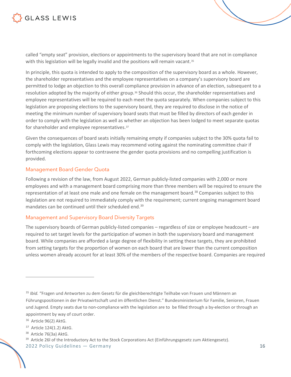

called "empty seat" provision, elections or appointments to the supervisory board that are not in compliance with this legislation will be legally invalid and the positions will remain vacant.<sup>[35](#page-15-0)</sup>

In principle, this quota is intended to apply to the composition of the supervisory board as a whole. However, the shareholder representatives and the employee representatives on a company's supervisory board are permitted to lodge an objection to this overall compliance provision in advance of an election, subsequent to a resolution adopted by the majority of either group.[36](#page-15-1) Should this occur, the shareholder representatives and employee representatives will be required to each meet the quota separately. When companies subject to this legislation are proposing elections to the supervisory board, they are required to disclose in the notice of meeting the minimum number of supervisory board seats that must be filled by directors of each gender in order to comply with the legislation as well as whether an objection has been lodged to meet separate quotas for shareholder and employee representatives.[37](#page-15-2)

Given the consequences of board seats initially remaining empty if companies subject to the 30% quota fail to comply with the legislation, Glass Lewis may recommend voting against the nominating committee chair if forthcoming elections appear to contravene the gender quota provisions and no compelling justification is provided.

#### Management Board Gender Quota

Following a revision of the law, from August 2022, German publicly-listed companies with 2,000 or more employees and with a management board comprising more than three members will be required to ensure the representation of at least one male and one female on the management board.<sup>[38](#page-15-3)</sup> Companies subject to this legislation are not required to immediately comply with the requirement; current ongoing management board mandates can be continued until their scheduled end.<sup>[39](#page-15-4)</sup>

#### Management and Supervisory Board Diversity Targets

The supervisory boards of German publicly-listed companies – regardless of size or employee headcount – are required to set target levels for the participation of women in both the supervisory board and management board. While companies are afforded a large degree of flexibility in setting these targets, they are prohibited from setting targets for the proportion of women on each board that are lower than the current composition unless women already account for at least 30% of the members of the respective board. Companies are required

<span id="page-15-0"></span><sup>35</sup> *Ibid.* "Fragen und Antworten zu dem Gesetz für die gleichberechtigte Teilhabe von Frauen und Männern an Führungspositionen in der Privatwirtschaft und im öffentlichen Dienst." Bundesministerium für Familie, Senioren, Frauen und Jugend. Empty seats due to non-compliance with the legislation are to be filled through a by-election or through an appointment by way of court order.

<span id="page-15-1"></span><sup>&</sup>lt;sup>36</sup> Article 96(2) AktG.

<span id="page-15-2"></span><sup>37</sup> Article 124(1.2) AktG.

<span id="page-15-3"></span><sup>&</sup>lt;sup>38</sup> Article 76(3a) AktG.

<span id="page-15-4"></span><sup>&</sup>lt;sup>39</sup> Article 26l of the Introductory Act to the Stock Corporations Act (Einführungsgesetz zum Aktiengesetz).

<sup>2022</sup> Policy Guidelines — Germany 16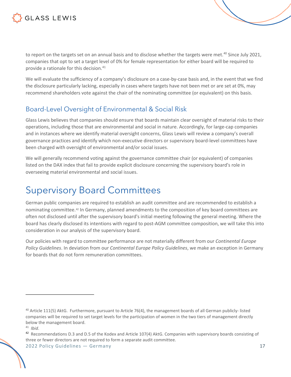

to report on the targets set on an annual basis and to disclose whether the targets were met.<sup>[40](#page-16-2)</sup> Since July 2021, companies that opt to set a target level of 0% for female representation for either board will be required to provide a rationale for this decision.<sup>41</sup>

We will evaluate the sufficiency of a company's disclosure on a case-by-case basis and, in the event that we find the disclosure particularly lacking, especially in cases where targets have not been met or are set at 0%, may recommend shareholders vote against the chair of the nominating committee (or equivalent) on this basis.

#### <span id="page-16-0"></span>Board-Level Oversight of Environmental & Social Risk

Glass Lewis believes that companies should ensure that boards maintain clear oversight of material risks to their operations, including those that are environmental and social in nature. Accordingly, for large-cap companies and in instances where we identify material oversight concerns, Glass Lewis will review a company's overall governance practices and identify which non-executive directors or supervisory board-level committees have been charged with oversight of environmental and/or social issues.

We will generally recommend voting against the governance committee chair (or equivalent) of companies listed on the DAX index that fail to provide explicit disclosure concerning the supervisory board's role in overseeing material environmental and social issues.

### <span id="page-16-1"></span>Supervisory Board Committees

German public companies are required to establish an audit committee and are recommended to establish a nominating committee.[42](#page-16-4) In Germany, planned amendments to the composition of key board committees are often not disclosed until after the supervisory board's initial meeting following the general meeting. Where the board has clearly disclosed its intentions with regard to post-AGM committee composition, we will take this into consideration in our analysis of the supervisory board.

Our policies with regard to committee performance are not materially different from our *Continental Europe Policy Guidelines*. In deviation from our *Continental Europe Policy Guidelines*, we make an exception in Germany for boards that do not form remuneration committees.

<span id="page-16-4"></span> $42$  Recommendations D.3 and D.5 of the Kodex and Article 107(4) AktG. Companies with supervisory boards consisting of three or fewer directors are not required to form a separate audit committee.

<span id="page-16-2"></span><sup>&</sup>lt;sup>40</sup> Article 111(5) AktG. Furthermore, pursuant to Article 76(4), the management boards of all German publicly-listed companies will be required to set target levels for the participation of women in the two tiers of management directly below the management board.

<span id="page-16-3"></span><sup>41</sup> *Ibid*.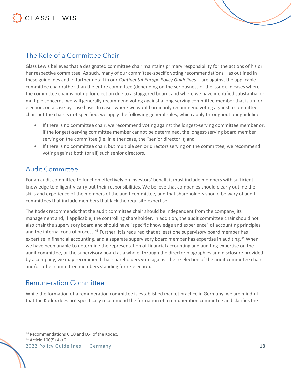

### <span id="page-17-0"></span>The Role of a Committee Chair

Glass Lewis believes that a designated committee chair maintains primary responsibility for the actions of his or her respective committee. As such, many of our committee-specific voting recommendations – as outlined in these guidelines and in further detail in our *Continental Europe Policy Guidelines* -- are against the applicable committee chair rather than the entire committee (depending on the seriousness of the issue). In cases where the committee chair is not up for election due to a staggered board, and where we have identified substantial or multiple concerns, we will generally recommend voting against a long-serving committee member that is up for election, on a case-by-case basis. In cases where we would ordinarily recommend voting against a committee chair but the chair is not specified, we apply the following general rules, which apply throughout our guidelines:

- If there is no committee chair, we recommend voting against the longest-serving committee member or, if the longest-serving committee member cannot be determined, the longest-serving board member serving on the committee (i.e. in either case, the "senior director"); and
- If there is no committee chair, but multiple senior directors serving on the committee, we recommend voting against both (or all) such senior directors.

#### <span id="page-17-1"></span>Audit Committee

For an audit committee to function effectively on investors' behalf, it must include members with sufficient knowledge to diligently carry out their responsibilities. We believe that companies should clearly outline the skills and experience of the members of the audit committee, and that shareholders should be wary of audit committees that include members that lack the requisite expertise.

The Kodex recommends that the audit committee chair should be independent from the company, its management and, if applicable, the controlling shareholder. In addition, the audit committee chair should not also chair the supervisory board and should have "specific knowledge and experience" of accounting principles and the internal control process.<sup>[43](#page-17-3)</sup> Further, it is required that at least one supervisory board member has expertise in financial accounting, and a separate supervisory board member has expertise in auditing.<sup>[44](#page-17-4)</sup> When we have been unable to determine the representation of financial accounting and auditing expertise on the audit committee, or the supervisory board as a whole, through the director biographies and disclosure provided by a company, we may recommend that shareholders vote against the re-election of the audit committee chair and/or other committee members standing for re-election.

#### <span id="page-17-2"></span>Remuneration Committee

While the formation of a remuneration committee is established market practice in Germany, we are mindful that the Kodex does not specifically recommend the formation of a remuneration committee and clarifies the

<span id="page-17-3"></span><sup>&</sup>lt;sup>43</sup> Recommendations C.10 and D.4 of the Kodex.

<span id="page-17-4"></span><sup>44</sup> Article 100(5) AktG.

<sup>2022</sup> Policy Guidelines — Germany 18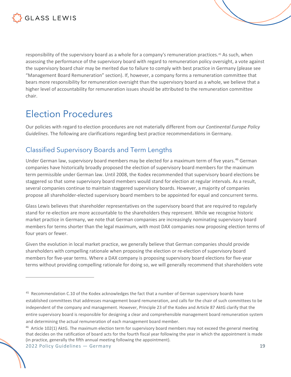

responsibility of the supervisory board as a whole for a company's remuneration practices.[45](#page-18-2) As such, when assessing the performance of the supervisory board with regard to remuneration policy oversight, a vote against the supervisory board chair may be merited due to failure to comply with best practice in Germany (please see "Management Board Remuneration" section). If, however, a company forms a remuneration committee that bears more responsibility for remuneration oversight than the supervisory board as a whole, we believe that a higher level of accountability for remuneration issues should be attributed to the remuneration committee chair.

### <span id="page-18-0"></span>Election Procedures

Our policies with regard to election procedures are not materially different from our *Continental Europe Policy Guidelines*. The following are clarifications regarding best practice recommendations in Germany.

### <span id="page-18-1"></span>Classified Supervisory Boards and Term Lengths

Under German law, supervisory board members may be elected for a maximum term of five years.[46](#page-18-3) German companies have historically broadly proposed the election of supervisory board members for the maximum term permissible under German law. Until 2008, the Kodex recommended that supervisory board elections be staggered so that some supervisory board members would stand for election at regular intervals. As a result, several companies continue to maintain staggered supervisory boards. However, a majority of companies propose all shareholder-elected supervisory board members to be appointed for equal and concurrent terms.

Glass Lewis believes that shareholder representatives on the supervisory board that are required to regularly stand for re-election are more accountable to the shareholders they represent. While we recognise historic market practice in Germany, we note that German companies are increasingly nominating supervisory board members for terms shorter than the legal maximum, with most DAX companies now proposing election terms of four years or fewer.

Given the evolution in local market practice, we generally believe that German companies should provide shareholders with compelling rationale when proposing the election or re-election of supervisory board members for five-year terms. Where a DAX company is proposing supervisory board elections for five-year terms without providing compelling rationale for doing so, we will generally recommend that shareholders vote

<span id="page-18-2"></span><sup>&</sup>lt;sup>45</sup> Recommendation C.10 of the Kodex acknowledges the fact that a number of German supervisory boards have established committees that addresses management board remuneration, and calls for the chair of such committees to be independent of the company and management. However, Principle 23 of the Kodex and Article 87 AktG clarify that the entire supervisory board is responsible for designing a clear and comprehensible management board remuneration system and determining the actual remuneration of each management board member.

<span id="page-18-3"></span><sup>&</sup>lt;sup>46</sup> Article 102(1) AktG. The maximum election term for supervisory board members may not exceed the general meeting that decides on the ratification of board acts for the fourth fiscal year following the year in which the appointment is made (in practice, generally the fifth annual meeting following the appointment).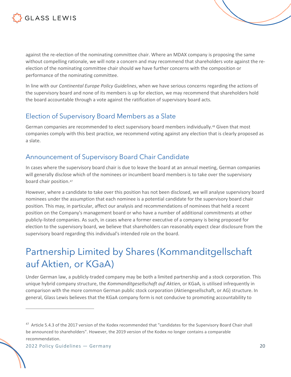

against the re-election of the nominating committee chair. Where an MDAX company is proposing the same without compelling rationale, we will note a concern and may recommend that shareholders vote against the reelection of the nominating committee chair should we have further concerns with the composition or performance of the nominating committee.

In line with our *Continental Europe Policy Guidelines*, when we have serious concerns regarding the actions of the supervisory board and none of its members is up for election, we may recommend that shareholders hold the board accountable through a vote against the ratification of supervisory board acts.

### <span id="page-19-0"></span>Election of Supervisory Board Members as a Slate

German companies are recommended to elect supervisory board members individually.<sup>48</sup> Given that most companies comply with this best practice, we recommend voting against any election that is clearly proposed as a slate.

### <span id="page-19-1"></span>Announcement of Supervisory Board Chair Candidate

In cases where the supervisory board chair is due to leave the board at an annual meeting, German companies will generally disclose which of the nominees or incumbent board members is to take over the supervisory board chair position.[47](#page-19-3)

However, where a candidate to take over this position has not been disclosed, we will analyse supervisory board nominees under the assumption that each nominee is a potential candidate for the supervisory board chair position. This may, in particular, affect our analysis and recommendations of nominees that held a recent position on the Company's management board or who have a number of additional commitments at other publicly-listed companies. As such, in cases where a former executive of a company is being proposed for election to the supervisory board, we believe that shareholders can reasonably expect clear disclosure from the supervisory board regarding this individual's intended role on the board.

## <span id="page-19-2"></span>Partnership Limited by Shares (Kommanditgellschaft auf Aktien, or KGaA)

Under German law, a publicly-traded company may be both a limited partnership and a stock corporation. This unique hybrid company structure, the *Kommanditgesellschaft auf Aktien*, or KGaA, is utilised infrequently in comparison with the more common German public stock corporation (Aktiengesellschaft, or AG) structure. In general, Glass Lewis believes that the KGaA company form is not conducive to promoting accountability to

<span id="page-19-3"></span><sup>&</sup>lt;sup>47</sup> Article 5.4.3 of the 2017 version of the Kodex recommended that "candidates for the Supervisory Board Chair shall be announced to shareholders". However, the 2019 version of the Kodex no longer contains a comparable recommendation.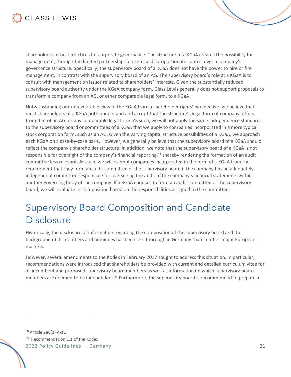

shareholders or best practices for corporate governance. The structure of a KGaA creates the possibility for management, through the limited partnership, to exercise disproportionate control over a company's governance structure. Specifically, the supervisory board of a KGaA does not have the power to hire or fire management, in contrast with the supervisory board of an AG. The supervisory board's role at a KGaA is to consult with management on issues related to shareholders' interests. Given the substantially reduced supervisory board authority under the KGaA company form, Glass Lewis generally does not support proposals to transform a company from an AG, or other comparable legal form, to a KGaA.

Notwithstanding our unfavourable view of the KGaA from a shareholder rights' perspective, we believe that most shareholders of a KGaA both understand and accept that the structure's legal form of company differs from that of an AG, or any comparable legal form. As such, we will not apply the same independence standards to the supervisory board or committees of a KGaA that we apply to companies incorporated in a more typical stock corporation form, such as an AG. Given the varying capital structure possibilities of a KGaA, we approach each KGaA on a case-by-case basis. However, we generally believe that the supervisory board of a KGaA should reflect the company's shareholder structure. In addition, we note that the supervisory board of a KGaA is not responsible for oversight of the company's financial reporting,<sup>[48](#page-20-1)</sup> thereby rendering the formation of an audit committee less relevant. As such, we will exempt companies incorporated in the form of a KGaA from the requirement that they form an audit committee of the supervisory board if the company has an adequately independent committee responsible for overseeing the audit of the company's financial statements within another governing body of the company. If a KGaA chooses to form an audit committee of the supervisory board, we will evaluate its composition based on the responsibilities assigned to the committee.

## <span id="page-20-0"></span>Supervisory Board Composition and Candidate Disclosure

Historically, the disclosure of information regarding the composition of the supervisory board and the background of its members and nominees has been less thorough in Germany than in other major European markets.

However, several amendments to the Kodex in February 2017 sought to address this situation. In particular, recommendations were introduced that shareholders be provided with current and detailed curriculum vitae for all incumbent and proposed supervisory board members as well as information on which supervisory board members are deemed to be independent.[49](#page-20-2) Furthermore, the supervisory board is recommended to prepare a

<span id="page-20-1"></span><sup>48</sup> Article 286(1) AktG.

<span id="page-20-2"></span><sup>49</sup> Recommendation C.1 of the Kodex.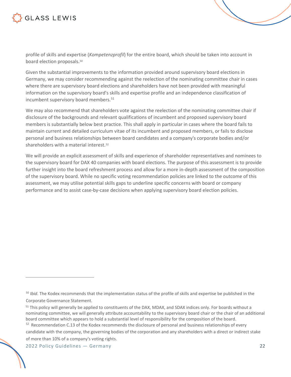profile of skills and expertise (*Kompetenzprofil*) for the entire board, which should be taken into account in board election proposals.<sup>[50](#page-21-0)</sup>

Given the substantial improvements to the information provided around supervisory board elections in Germany, we may consider recommending against the reelection of the nominating committee chair in cases where there are supervisory board elections and shareholders have not been provided with meaningful information on the supervisory board's skills and expertise profile and an independence classification of incumbent supervisory board members.<sup>[51](#page-21-1)</sup>

We may also recommend that shareholders vote against the reelection of the nominating committee chair if disclosure of the backgrounds and relevant qualifications of incumbent and proposed supervisory board members is substantially below best practice. This shall apply in particular in cases where the board fails to maintain current and detailed curriculum vitae of its incumbent and proposed members, or fails to disclose personal and business relationships between board candidates and a company's corporate bodies and/or shareholders with a material interest.[52](#page-21-2)

We will provide an explicit assessment of skills and experience of shareholder representatives and nominees to the supervisory board for DAX 40 companies with board elections. The purpose of this assessment is to provide further insight into the board refreshment process and allow for a more in-depth assessment of the composition of the supervisory board. While no specific voting recommendation policies are linked to the outcome of this assessment, we may utilise potential skills gaps to underline specific concerns with board or company performance and to assist case-by-case decisions when applying supervisory board election policies.

<span id="page-21-0"></span><sup>50</sup> *Ibid*. The Kodex recommends that the implementation status of the profile of skills and expertise be published in the Corporate Governance Statement.

<span id="page-21-1"></span> $51$  This policy will generally be applied to constituents of the DAX, MDAX, and SDAX indices only. For boards without a nominating committee, we will generally attribute accountability to the supervisory board chair or the chair of an additional board committee which appears to hold a substantial level of responsibility for the composition of the board.

<span id="page-21-2"></span><sup>&</sup>lt;sup>52</sup> Recommendation C.13 of the Kodex recommends the disclosure of personal and business relationships of every candidate with the company, the governing bodies of the corporation and any shareholders with a direct or indirect stake of more than 10% of a company's voting rights.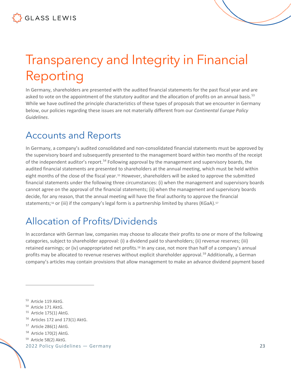# <span id="page-22-0"></span>Transparency and Integrity in Financial Reporting

In Germany, shareholders are presented with the audited financial statements for the past fiscal year and are asked to vote on the appointment of the statutory auditor and the allocation of profits on an annual basis.<sup>[53](#page-22-3)</sup> While we have outlined the principle characteristics of these types of proposals that we encounter in Germany below, our policies regarding these issues are not materially different from our *Continental Europe Policy Guidelines*.

### <span id="page-22-1"></span>Accounts and Reports

In Germany, a company's audited consolidated and non-consolidated financial statements must be approved by the supervisory board and subsequently presented to the management board within two months of the receipt of the independent auditor's report.<sup>[54](#page-22-4)</sup> Following approval by the management and supervisory boards, the audited financial statements are presented to shareholders at the annual meeting, which must be held within eight months of the close of the fiscal year.[55](#page-22-5) However, shareholders will be asked to approve the submitted financial statements under the following three circumstances: (i) when the management and supervisory boards cannot agree on the approval of the financial statements; (ii) when the management and supervisory boards decide, for any reason, that the annual meeting will have the final authority to approve the financial statements;<sup>[56](#page-22-6)</sup> or (iii) if the company's legal form is a partnership limited by shares (KGaA).<sup>[57](#page-22-7)</sup>

# <span id="page-22-2"></span>Allocation of Profits/Dividends

In accordance with German law, companies may choose to allocate their profits to one or more of the following categories, subject to shareholder approval: (i) a dividend paid to shareholders; (ii) revenue reserves; (iii) retained earnings; or (iv) unappropriated net profits.[58](#page-22-8) In any case, not more than half of a company's annual profits may be allocated to revenue reserves without explicit shareholder approval.<sup>[59](#page-22-9)</sup> Additionally, a German company's articles may contain provisions that allow management to make an advance dividend payment based

- <span id="page-22-5"></span>55 Article 175(1) AktG.
- <span id="page-22-6"></span><sup>56</sup> Articles 172 and 173(1) AktG.

- <span id="page-22-8"></span>58 Article 170(2) AktG.
- <span id="page-22-9"></span><sup>59</sup> Article 58(2) AktG.

<span id="page-22-3"></span><sup>53</sup> Article 119 AktG.

<span id="page-22-4"></span><sup>54</sup> Article 171 AktG.

<span id="page-22-7"></span><sup>57</sup> Article 286(1) AktG.

<sup>2022</sup> Policy Guidelines — Germany 23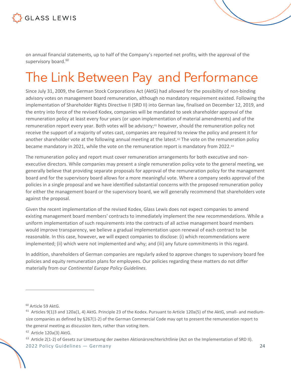

on annual financial statements, up to half of the Company's reported net profits, with the approval of the supervisory board.<sup>[60](#page-23-1)</sup>

# <span id="page-23-0"></span>The Link Between Pay and Performance

Since July 31, 2009, the German Stock Corporations Act (AktG) had allowed for the possibility of non-binding advisory votes on management board remuneration, although no mandatory requirement existed. Following the implementation of Shareholder Rights Directive II (SRD II) into German law, finalised on December 12, 2019, and the entry into force of the revised Kodex, companies will be mandated to seek shareholder approval of the remuneration policy at least every four years (or upon implementation of material amendments) and of the remuneration report every year. Both votes will be advisory;<sup>61</sup> however, should the remuneration policy not receive the support of a majority of votes cast, companies are required to review the policy and present it for another shareholder vote at the following annual meeting at the latest.<sup>[62](#page-23-3)</sup> The vote on the remuneration policy became mandatory in 2021, while the vote on the remuneration report is mandatory from 2022.<sup>[63](#page-23-4)</sup>

The remuneration policy and report must cover remuneration arrangements for both executive and nonexecutive directors. While companies may present a single remuneration policy vote to the general meeting, we generally believe that providing separate proposals for approval of the remuneration policy for the management board and for the supervisory board allows for a more meaningful vote. Where a company seeks approval of the policies in a single proposal and we have identified substantial concerns with the proposed remuneration policy for either the management board or the supervisory board, we will generally recommend that shareholders vote against the proposal.

Given the recent implementation of the revised Kodex, Glass Lewis does not expect companies to amend existing management board members' contracts to immediately implement the new recommendations. While a uniform implementation of such requirements into the contracts of all active management board members would improve transparency, we believe a gradual implementation upon renewal of each contract to be reasonable. In this case, however, we will expect companies to disclose: (i) which recommendations were implemented; (ii) which were not implemented and why; and (iii) any future commitments in this regard.

In addition, shareholders of German companies are regularly asked to approve changes to supervisory board fee policies and equity remuneration plans for employees. Our policies regarding these matters do not differ materially from our *Continental Europe Policy Guidelines*.

<span id="page-23-4"></span> $63$  Article 2(1-2) of Gesetz zur Umsetzung der zweiten Aktionärsrechterichtlinie (Act on the Implementation of SRD II).

<span id="page-23-1"></span><sup>60</sup> Article 59 AktG.

<span id="page-23-2"></span> $61$  Articles 9(1)3 and 120a(1, 4) AktG. Principle 23 of the Kodex. Pursuant to Article 120a(5) of the AktG, small- and mediumsize companies as defined by §267(1-2) of the German Commercial Code may opt to present the remuneration report to the general meeting as discussion item, rather than voting item.

<span id="page-23-3"></span><sup>62</sup> Article 120a(3) AktG.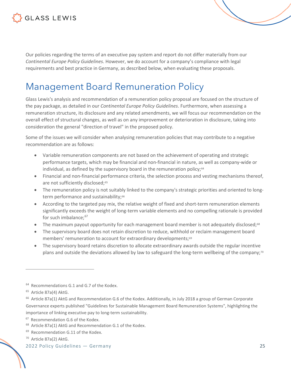

Our policies regarding the terms of an executive pay system and report do not differ materially from our *Continental Europe Policy Guidelines*. However, we do account for a company's compliance with legal requirements and best practice in Germany, as described below, when evaluating these proposals.

## <span id="page-24-0"></span>Management Board Remuneration Policy

Glass Lewis's analysis and recommendation of a remuneration policy proposal are focused on the structure of the pay package, as detailed in our *Continental Europe Policy Guidelines*. Furthermore, when assessing a remuneration structure, its disclosure and any related amendments, we will focus our recommendation on the overall effect of structural changes, as well as on any improvement or deterioration in disclosure, taking into consideration the general "direction of travel" in the proposed policy.

Some of the issues we will consider when analysing remuneration policies that may contribute to a negative recommendation are as follows:

- Variable remuneration components are not based on the achievement of operating and strategic performance targets, which may be financial and non-financial in nature, as well as company-wide or individual, as defined by the supervisory board in the remuneration policy;<sup>64</sup>
- Financial and non-financial performance criteria, the selection process and vesting mechanisms thereof, are not sufficiently disclosed;<sup>[65](#page-24-2)</sup>
- The remuneration policy is not suitably linked to the company's strategic priorities and oriented to longterm performance and sustainability;<sup>66</sup>
- According to the targeted pay mix, the relative weight of fixed and short-term remuneration elements significantly exceeds the weight of long-term variable elements and no compelling rationale is provided for such imbalance;<sup>[67](#page-24-4)</sup>
- The maximum payout opportunity for each management board member is not adequately disclosed;<sup>[68](#page-24-5)</sup>
- The supervisory board does not retain discretion to reduce, withhold or reclaim management board members' remuneration to account for extraordinary developments;<sup>[69](#page-24-6)</sup>
- The supervisory board retains discretion to allocate extraordinary awards outside the regular incentive plans and outside the deviations allowed by law to safeguard the long-term wellbeing of the company;<sup>[70](#page-24-7)</sup>

<span id="page-24-1"></span><sup>&</sup>lt;sup>64</sup> Recommendations G.1 and G.7 of the Kodex.

<span id="page-24-2"></span><sup>65</sup> Article 87a(4) AktG.

<span id="page-24-3"></span> $66$  Article 87a(1) AktG and Recommendation G.6 of the Kodex. Additionally, in July 2018 a group of German Corporate Governance experts published "Guidelines for Sustainable Management Board Remuneration Systems", highlighting the importance of linking executive pay to long-term sustainability.

<span id="page-24-4"></span><sup>67</sup> Recommendation G.6 of the Kodex.

<span id="page-24-5"></span><sup>68</sup> Article 87a(1) AktG and Recommendation G.1 of the Kodex.

<span id="page-24-6"></span><sup>&</sup>lt;sup>69</sup> Recommendation G.11 of the Kodex.

<span id="page-24-7"></span><sup>70</sup> Article 87a(2) AktG.

<sup>2022</sup> Policy Guidelines — Germany 25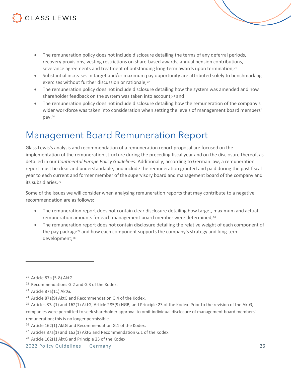- The remuneration policy does not include disclosure detailing the terms of any deferral periods, recovery provisions, vesting restrictions on share-based awards, annual pension contributions, severance agreements and treatment of outstanding long-term awards upon termination; $71$
- Substantial increases in target and/or maximum pay opportunity are attributed solely to benchmarking exercises without further discussion or rationale;<sup>[72](#page-25-2)</sup>
- The remuneration policy does not include disclosure detailing how the system was amended and how shareholder feedback on the system was taken into account;<sup>[73](#page-25-3)</sup> and
- The remuneration policy does not include disclosure detailing how the remuneration of the company's wider workforce was taken into consideration when setting the levels of management board members' pay.[74](#page-25-4)

## <span id="page-25-0"></span>Management Board Remuneration Report

Glass Lewis's analysis and recommendation of a remuneration report proposal are focused on the implementation of the remuneration structure during the preceding fiscal year and on the disclosure thereof, as detailed in our *Continental Europe Policy Guidelines*. Additionally, according to German law, a remuneration report must be clear and understandable, and include the remuneration granted and paid during the past fiscal year to each current and former member of the supervisory board and management board of the company and its subsidiaries.[75](#page-25-5)

Some of the issues we will consider when analysing remuneration reports that may contribute to a negative recommendation are as follows:

- The remuneration report does not contain clear disclosure detailing how target, maximum and actual remuneration amounts for each management board member were determined;<sup>[76](#page-25-6)</sup>
- The remuneration report does not contain disclosure detailing the relative weight of each component of the pay package<sup>[77](#page-25-7)</sup> and how each component supports the company's strategy and long-term development;<sup>[78](#page-25-8)</sup>

<span id="page-25-2"></span>72 Recommendations G.2 and G.3 of the Kodex.

- <span id="page-25-5"></span> $75$  Articles 87a(1) and 162(1) AktG, Article 285(9) HGB, and Principle 23 of the Kodex. Prior to the revision of the AktG, companies were permitted to seek shareholder approval to omit individual disclosure of management board members' remuneration; this is no longer permissible.
- <span id="page-25-6"></span><sup>76</sup> Article 162(1) AktG and Recommendation G.1 of the Kodex.
- <span id="page-25-7"></span>77 Articles 87a(1) and 162(1) AktG and Recommendation G.1 of the Kodex.
- <span id="page-25-8"></span>78 Article 162(1) AktG and Principle 23 of the Kodex.

<span id="page-25-1"></span><sup>71</sup> Article 87a (5-8) AktG.

<span id="page-25-3"></span><sup>73</sup> Article 87a(11) AktG.

<span id="page-25-4"></span> $74$  Article 87a(9) AktG and Recommendation G.4 of the Kodex.

<sup>2022</sup> Policy Guidelines — Germany 26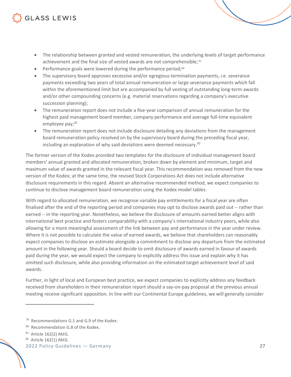- The relationship between granted and vested remuneration, the underlying levels of target performance achievement and the final size of vested awards are not comprehensible;[79](#page-26-0)
- Performance goals were lowered during the performance period; $80$
- The supervisory board approves excessive and/or egregious termination payments, i.e. severance payments exceeding two years of total annual remuneration or large severance payments which fall within the aforementioned limit but are accompanied by full vesting of outstanding long-term awards and/or other compounding concerns (e.g. material reservations regarding a company's executive succession planning);
- The remuneration report does not include a five-year comparison of annual remuneration for the highest paid management board member, company performance and average full-time equivalent employee pay;<sup>[81](#page-26-2)</sup>
- The remuneration report does not include disclosure detailing any deviations from the management board remuneration policy resolved on by the supervisory board during the preceding fiscal year, including an explanation of why said deviations were deemed necessary.<sup>[82](#page-26-3)</sup>

The former version of the Kodex provided two templates for the disclosure of individual management board members' annual granted and allocated remuneration, broken down by element and minimum, target and maximum value of awards granted in the relevant fiscal year. This recommendation was removed from the new version of the Kodex; at the same time, the revised Stock Corporations Act does not include alternative disclosure requirements in this regard. Absent an alternative recommended method, we expect companies to continue to disclose management board remuneration using the Kodex model tables.

With regard to allocated remuneration, we recognise variable pay entitlements for a fiscal year are often finalised after the end of the reporting period and companies may opt to disclose awards paid out -- rather than earned -- in the reporting year. Nonetheless, we believe the disclosure of amounts earned better aligns with international best practice and fosters comparability with a company's international industry peers, while also allowing for a more meaningful assessment of the link between pay and performance in the year under review. Where it is not possible to calculate the value of earned awards, we believe that shareholders can reasonably expect companies to disclose an estimate alongside a commitment to disclose any departure from the estimated amount in the following year. Should a board decide to omit disclosure of awards earned in favour of awards paid during the year, we would expect the company to explicitly address this issue and explain why it has omitted such disclosure, while also providing information on the estimated target achievement level of said awards.

Further, in light of local and European best practice, we expect companies to explicitly address any feedback received from shareholders in their remuneration report should a say-on-pay proposal at the previous annual meeting receive significant opposition. In line with our Continental Europe guidelines, we will generally consider

<span id="page-26-3"></span><sup>82</sup> Article 162(1) AktG.

<span id="page-26-0"></span><sup>&</sup>lt;sup>79</sup> Recommendations G.1 and G.9 of the Kodex.

<span id="page-26-1"></span><sup>80</sup> Recommendation G.8 of the Kodex.

<span id="page-26-2"></span><sup>81</sup> Article 162(2) AktG.

<sup>2022</sup> Policy Guidelines — Germany 27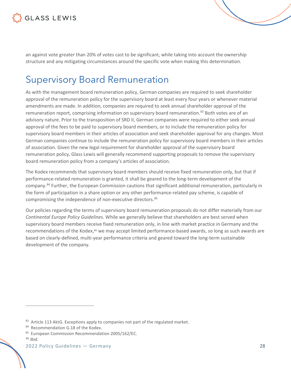

an against vote greater than 20% of votes cast to be significant, while taking into account the ownership structure and any mitigating circumstances around the specific vote when making this determination.

## <span id="page-27-0"></span>Supervisory Board Remuneration

As with the management board remuneration policy, German companies are required to seek shareholder approval of the remuneration policy for the supervisory board at least every four years or whenever material amendments are made. In addition, companies are required to seek annual shareholder approval of the remuneration report, comprising information on supervisory board remuneration.<sup>[83](#page-27-1)</sup> Both votes are of an advisory nature. Prior to the transposition of SRD II, German companies were required to either seek annual approval of the fees to be paid to supervisory board members, or to include the remuneration policy for supervisory board members in their articles of association and seek shareholder approval for any changes. Most German companies continue to include the remuneration policy for supervisory board members in their articles of association. Given the new legal requirement for shareholder approval of the supervisory board remuneration policy, Glass Lewis will generally recommend supporting proposals to remove the supervisory board remuneration policy from a company's articles of association.

The Kodex recommends that supervisory board members should receive fixed remuneration only, but that if performance-related remuneration is granted, it shall be geared to the long-term development of the company.[84](#page-27-2) Further, the European Commission cautions that significant additional remuneration, particularly in the form of participation in a share option or any other performance-related pay scheme, is capable of compromising the independence of non-executive directors.<sup>[85](#page-27-3)</sup>

Our policies regarding the terms of supervisory board remuneration proposals do not differ materially from our *Continental Europe Policy Guidelines*. While we generally believe that shareholders are best served when supervisory board members receive fixed remuneration only, in line with market practice in Germany and the recommendations of the Kodex,[86](#page-27-4) we may accept limited performance-based awards, so long as such awards are based on clearly-defined, multi-year performance criteria and geared toward the long-term sustainable development of the company.

<span id="page-27-1"></span><sup>83</sup> Article 113 AktG. Exceptions apply to companies not part of the regulated market.

<span id="page-27-2"></span><sup>84</sup> Recommendation G.18 of the Kodex.

<span id="page-27-3"></span><sup>85</sup> European Commission Recommendation 2005/162/EC.

<span id="page-27-4"></span><sup>86</sup> *Ibid.*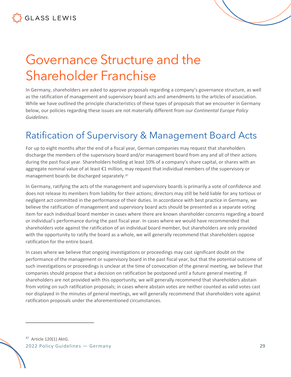

# <span id="page-28-0"></span>Governance Structure and the Shareholder Franchise

In Germany, shareholders are asked to approve proposals regarding a company's governance structure, as well as the ratification of management and supervisory board acts and amendments to the articles of association. While we have outlined the principle characteristics of these types of proposals that we encounter in Germany below, our policies regarding these issues are not materially different from our *Continental Europe Policy Guidelines*.

## <span id="page-28-1"></span>Ratification of Supervisory & Management Board Acts

For up to eight months after the end of a fiscal year, German companies may request that shareholders discharge the members of the supervisory board and/or management board from any and all of their actions during the past fiscal year. Shareholders holding at least 10% of a company's share capital, or shares with an aggregate nominal value of at least €1 million, may request that individual members of the supervisory or management boards be discharged separately.[87](#page-28-2)

In Germany, ratifying the acts of the management and supervisory boards is primarily a vote of confidence and does not release its members from liability for their actions; directors may still be held liable for any tortious or negligent act committed in the performance of their duties. In accordance with best practice in Germany, we believe the ratification of management and supervisory board acts should be presented as a separate voting item for each individual board member in cases where there are known shareholder concerns regarding a board or individual's performance during the past fiscal year. In cases where we would have recommended that shareholders vote against the ratification of an individual board member, but shareholders are only provided with the opportunity to ratify the board as a whole, we will generally recommend that shareholders oppose ratification for the entire board.

In cases where we believe that ongoing investigations or proceedings may cast significant doubt on the performance of the management or supervisory board in the past fiscal year, but that the potential outcome of such investigations or proceedings is unclear at the time of convocation of the general meeting, we believe that companies should propose that a decision on ratification be postponed until a future general meeting. If shareholders are not provided with this opportunity, we will generally recommend that shareholders abstain from voting on such ratification proposals; in cases where abstain votes are neither counted as valid votes cast nor displayed in the minutes of general meetings, we will generally recommend that shareholders vote against ratification proposals under the aforementioned circumstances.

<span id="page-28-2"></span>2022 Policy Guidelines — Germany 29 87 Article 120(1) AktG.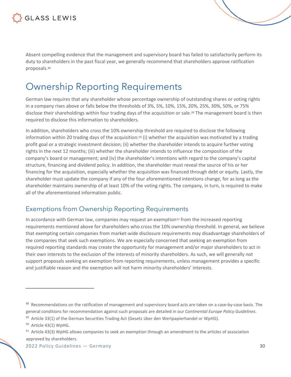

Absent compelling evidence that the management and supervisory board has failed to satisfactorily perform its duty to shareholders in the past fiscal year, we generally recommend that shareholders approve ratification proposals.<sup>[88](#page-29-2)</sup>

### <span id="page-29-0"></span>Ownership Reporting Requirements

German law requires that any shareholder whose percentage ownership of outstanding shares or voting rights in a company rises above or falls below the thresholds of 3%, 5%, 10%, 15%, 20%, 25%, 30%, 50%, or 75% disclose their shareholdings within four trading days of the acquisition or sale.<sup>[89](#page-29-3)</sup> The management board is then required to disclose this information to shareholders.

In addition, shareholders who cross the 10% ownership threshold are required to disclose the following information within 20 trading days of the acquisition:<sup>[90](#page-29-4)</sup> (i) whether the acquisition was motivated by a trading profit goal or a strategic investment decision; (ii) whether the shareholder intends to acquire further voting rights in the next 12 months; (iii) whether the shareholder intends to influence the composition of the company's board or management; and (iv) the shareholder's intentions with regard to the company's capital structure, financing and dividend policy. In addition, the shareholder must reveal the source of his or her financing for the acquisition, especially whether the acquisition was financed through debt or equity. Lastly, the shareholder must update the company if any of the four aforementioned intentions change, for as long as the shareholder maintains ownership of at least 10% of the voting rights. The company, in turn, is required to make all of the aforementioned information public.

#### <span id="page-29-1"></span>Exemptions from Ownership Reporting Requirements

In accordance with German law, companies may request an exemption $91$  from the increased reporting requirements mentioned above for shareholders who cross the 10% ownership threshold. In general, we believe that exempting certain companies from market-wide disclosure requirements may disadvantage shareholders of the companies that seek such exemptions. We are especially concerned that seeking an exemption from required reporting standards may create the opportunity for management and/or major shareholders to act in their own interests to the exclusion of the interests of minority shareholders. As such, we will generally not support proposals seeking an exemption from reporting requirements, unless management provides a specific and justifiable reason and the exemption will not harm minority shareholders' interests.

<span id="page-29-2"></span><sup>88</sup> Recommendations on the ratification of management and supervisory board acts are taken on a case-by-case basis. The general conditions for recommendation against such proposals are detailed in our *Continental Europe Policy Guidelines*.

<span id="page-29-3"></span> $89$  Article 33(1) of the German Securities Trading Act (Gesetz über den Wertpapierhandel or WpHG).

<span id="page-29-4"></span><sup>90</sup> Article 43(1) WpHG.

<span id="page-29-5"></span><sup>91</sup> Article 43(3) WpHG allows companies to seek an exemption through an amendment to the articles of association approved by shareholders.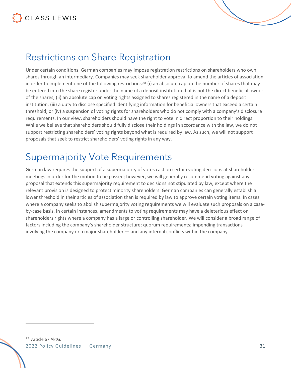### <span id="page-30-0"></span>Restrictions on Share Registration

Under certain conditions, German companies may impose registration restrictions on shareholders who own shares through an intermediary. Companies may seek shareholder approval to amend the articles of association in order to implement one of the following restrictions:<sup>[92](#page-30-2)</sup> (i) an absolute cap on the number of shares that may be entered into the share register under the name of a deposit institution that is not the direct beneficial owner of the shares; (ii) an absolute cap on voting rights assigned to shares registered in the name of a deposit institution; (iii) a duty to disclose specified identifying information for beneficial owners that exceed a certain threshold; or (iv) a suspension of voting rights for shareholders who do not comply with a company's disclosure requirements. In our view, shareholders should have the right to vote in direct proportion to their holdings. While we believe that shareholders should fully disclose their holdings in accordance with the law, we do not support restricting shareholders' voting rights beyond what is required by law. As such, we will not support proposals that seek to restrict shareholders' voting rights in any way.

### <span id="page-30-1"></span>Supermajority Vote Requirements

<span id="page-30-2"></span>German law requires the support of a supermajority of votes cast on certain voting decisions at shareholder meetings in order for the motion to be passed; however, we will generally recommend voting against any proposal that extends this supermajority requirement to decisions not stipulated by law, except where the relevant provision is designed to protect minority shareholders. German companies can generally establish a lower threshold in their articles of association than is required by law to approve certain voting items. In cases where a company seeks to abolish supermajority voting requirements we will evaluate such proposals on a caseby-case basis. In certain instances, amendments to voting requirements may have a deleterious effect on shareholders rights where a company has a large or controlling shareholder. We will consider a broad range of factors including the company's shareholder structure; quorum requirements; impending transactions involving the company or a major shareholder — and any internal conflicts within the company.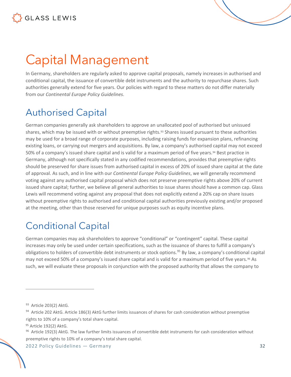# <span id="page-31-0"></span>Capital Management

In Germany, shareholders are regularly asked to approve capital proposals, namely increases in authorised and conditional capital, the issuance of convertible debt instruments and the authority to repurchase shares. Such authorities generally extend for five years. Our policies with regard to these matters do not differ materially from our *Continental Europe Policy Guidelines*.

## <span id="page-31-1"></span>Authorised Capital

German companies generally ask shareholders to approve an unallocated pool of authorised but unissued shares, which may be issued with or without preemptive rights.<sup>[93](#page-31-3)</sup> Shares issued pursuant to these authorities may be used for a broad range of corporate purposes, including raising funds for expansion plans, refinancing existing loans, or carrying out mergers and acquisitions. By law, a company's authorised capital may not exceed 50% of a company's issued share capital and is valid for a maximum period of five years[.94](#page-31-4) Best practice in Germany, although not specifically stated in any codified recommendations, provides that preemptive rights should be preserved for share issues from authorised capital in excess of 20% of issued share capital at the date of approval. As such, and in line with our *Continental Europe Policy Guidelines*, we will generally recommend voting against any authorised capital proposal which does not preserve preemptive rights above 20% of current issued share capital; further, we believe all general authorities to issue shares should have a common cap. Glass Lewis will recommend voting against any proposal that does not explicitly extend a 20% cap on share issues without preemptive rights to authorised and conditional capital authorities previously existing and/or proposed at the meeting, other than those reserved for unique purposes such as equity incentive plans.

### <span id="page-31-2"></span>Conditional Capital

German companies may ask shareholders to approve "conditional" or "contingent" capital. These capital increases may only be used under certain specifications, such as the issuance of shares to fulfill a company's obligations to holders of convertible debt instruments or stock options.<sup>[95](#page-31-5)</sup> By law, a company's conditional capital may not exceed 50% of a company's issued share capital and is valid for a maximum period of five years.<sup>[96](#page-31-6)</sup> As such, we will evaluate these proposals in conjunction with the proposed authority that allows the company to

<span id="page-31-3"></span><sup>93</sup> Article 203(2) AktG.

<span id="page-31-4"></span><sup>94</sup> Article 202 AktG. Article 186(3) AktG further limits issuances of shares for cash consideration without preemptive rights to 10% of a company's total share capital.

<span id="page-31-5"></span><sup>&</sup>lt;sup>95</sup> Article 192(2) AktG.

<span id="page-31-6"></span><sup>&</sup>lt;sup>96</sup> Article 192(3) AktG. The law further limits issuances of convertible debt instruments for cash consideration without preemptive rights to 10% of a company's total share capital.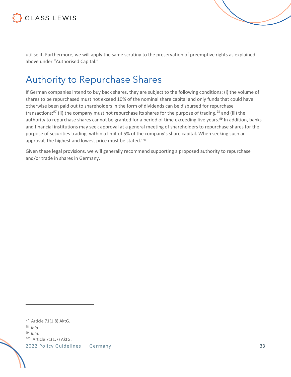

utilise it. Furthermore, we will apply the same scrutiny to the preservation of preemptive rights as explained above under "Authorised Capital."

### <span id="page-32-0"></span>Authority to Repurchase Shares

If German companies intend to buy back shares, they are subject to the following conditions: (i) the volume of shares to be repurchased must not exceed 10% of the nominal share capital and only funds that could have otherwise been paid out to shareholders in the form of dividends can be disbursed for repurchase transactions;<sup>[97](#page-32-1)</sup> (ii) the company must not repurchase its shares for the purpose of trading,  $98$  and (iii) the authority to repurchase shares cannot be granted for a period of time exceeding five years.<sup>[99](#page-32-3)</sup> In addition, banks and financial institutions may seek approval at a general meeting of shareholders to repurchase shares for the purpose of securities trading, within a limit of 5% of the company's share capital. When seeking such an approval, the highest and lowest price must be stated.<sup>100</sup>

Given these legal provisions, we will generally recommend supporting a proposed authority to repurchase and/or trade in shares in Germany.

<span id="page-32-1"></span>97 Article 71(1.8) AktG.

<span id="page-32-2"></span><sup>98</sup> *Ibid*.

<span id="page-32-3"></span><sup>99</sup> *Ibid.*

<span id="page-32-4"></span>100 Article 71(1.7) AktG.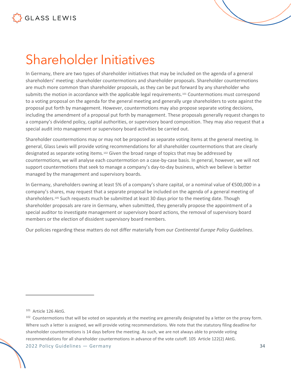# <span id="page-33-0"></span>Shareholder Initiatives

In Germany, there are two types of shareholder initiatives that may be included on the agenda of a general shareholders' meeting: shareholder countermotions and shareholder proposals. Shareholder countermotions are much more common than shareholder proposals, as they can be put forward by any shareholder who submits the motion in accordance with the applicable legal requirements.<sup>[101](#page-33-1)</sup> Countermotions must correspond to a voting proposal on the agenda for the general meeting and generally urge shareholders to vote against the proposal put forth by management. However, countermotions may also propose separate voting decisions, including the amendment of a proposal put forth by management. These proposals generally request changes to a company's dividend policy, capital authorities, or supervisory board composition. They may also request that a special audit into management or supervisory board activities be carried out.

Shareholder countermotions may or may not be proposed as separate voting items at the general meeting. In general, Glass Lewis will provide voting recommendations for all shareholder countermotions that are clearly designated as separate voting items.[102](#page-33-2) Given the broad range of topics that may be addressed by countermotions, we will analyse each countermotion on a case-by-case basis. In general, however, we will not support countermotions that seek to manage a company's day-to-day business, which we believe is better managed by the management and supervisory boards.

In Germany, shareholders owning at least 5% of a company's share capital, or a nominal value of €500,000 in a company's shares, may request that a separate proposal be included on the agenda of a general meeting of shareholders.<sup>105</sup> Such requests much be submitted at least 30 days prior to the meeting date. Though shareholder proposals are rare in Germany, when submitted, they generally propose the appointment of a special auditor to investigate management or supervisory board actions, the removal of supervisory board members or the election of dissident supervisory board members.

Our policies regarding these matters do not differ materially from our *Continental Europe Policy Guidelines*.

<span id="page-33-1"></span><sup>101</sup> Article 126 AktG.

<span id="page-33-2"></span><sup>2022</sup> Policy Guidelines — Germany 34  $102$  Countermotions that will be voted on separately at the meeting are generally designated by a letter on the proxy form. Where such a letter is assigned, we will provide voting recommendations. We note that the statutory filing deadline for shareholder countermotions is 14 days before the meeting. As such, we are not always able to provide voting recommendations for all shareholder countermotions in advance of the vote cutoff. 105 Article 122(2) AktG.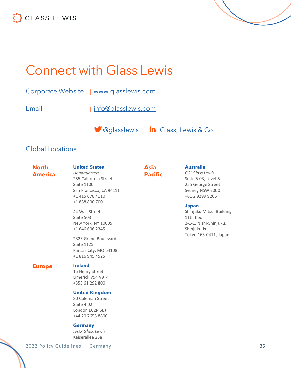

<span id="page-34-0"></span>

Corporate Website | [www.glasslewis.com](http://www.glasslewis.com/)

Email | [info@glasslewis.com](mailto:%20info@glasslewis.com)

**S** [@glasslewis](https://twitter.com/GlassLewis) in [Glass, Lewis & Co.](https://www.linkedin.com/company/glass-lewis-&-co-)

#### Global Locations

**North America**

#### **United States**

*Headquarters* 255 California Street Suite 1100 San Francisco, CA 94111 +1 415 678 4110 +1 888 800 7001

44 Wall Street Suite 503 New York, NY 10005 +1 646 606 2345

2323 Grand Boulevard Suite 1125 Kansas City, MO 64108 +1 816 945 4525

#### **Europe Ireland**

15 Henry Street Limerick V94 V9T4 +353 61 292 800

#### **United Kingdom**

80 Coleman Street Suite 4.02 London EC2R 5BJ +44 20 7653 8800

#### **Germany**

*IVOX Glass Lewis* Kaiserallee 23a

#### **Asia Pacific**

**Australia**

*CGI Glass Lewis* Suite 5.03, Level 5 255 George Street Sydney NSW 2000 +61 2 9299 9266

#### **Japan**

Shinjuku Mitsui Building 11th floor 2-1-1, Nishi-Shinjuku, Shinjuku-ku, Tokyo 163-0411, Japan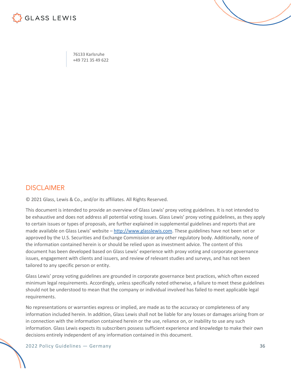

76133 Karlsruhe +49 721 35 49 622

#### DISCI AIMER

© 2021 Glass, Lewis & Co., and/or its affiliates. All Rights Reserved.

This document is intended to provide an overview of Glass Lewis' proxy voting guidelines. It is not intended to be exhaustive and does not address all potential voting issues. Glass Lewis' proxy voting guidelines, as they apply to certain issues or types of proposals, are further explained in supplemental guidelines and reports that are made available on Glass Lewis' website – [http://www.glasslewis.com](http://www.glasslewis.com/). These guidelines have not been set or approved by the U.S. Securities and Exchange Commission or any other regulatory body. Additionally, none of the information contained herein is or should be relied upon as investment advice. The content of this document has been developed based on Glass Lewis' experience with proxy voting and corporate governance issues, engagement with clients and issuers, and review of relevant studies and surveys, and has not been tailored to any specific person or entity.

Glass Lewis' proxy voting guidelines are grounded in corporate governance best practices, which often exceed minimum legal requirements. Accordingly, unless specifically noted otherwise, a failure to meet these guidelines should not be understood to mean that the company or individual involved has failed to meet applicable legal requirements.

No representations or warranties express or implied, are made as to the accuracy or completeness of any information included herein. In addition, Glass Lewis shall not be liable for any losses or damages arising from or in connection with the information contained herein or the use, reliance on, or inability to use any such information. Glass Lewis expects its subscribers possess sufficient experience and knowledge to make their own decisions entirely independent of any information contained in this document.